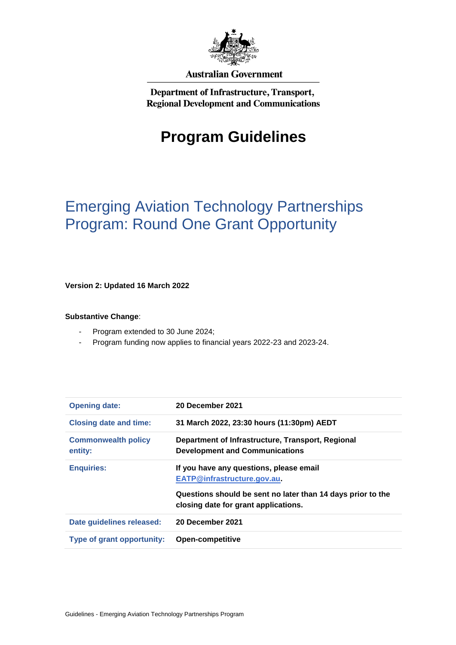

#### **Australian Government**

Department of Infrastructure, Transport, **Regional Development and Communications** 

# **Program Guidelines**

# Emerging Aviation Technology Partnerships Program: Round One Grant Opportunity

**Version 2: Updated 16 March 2022**

#### **Substantive Change**:

- Program extended to 30 June 2024;
- Program funding now applies to financial years 2022-23 and 2023-24.

| <b>Opening date:</b>                  | 20 December 2021                                                                                    |
|---------------------------------------|-----------------------------------------------------------------------------------------------------|
| <b>Closing date and time:</b>         | 31 March 2022, 23:30 hours (11:30pm) AEDT                                                           |
| <b>Commonwealth policy</b><br>entity: | Department of Infrastructure, Transport, Regional<br><b>Development and Communications</b>          |
| <b>Enquiries:</b>                     | If you have any questions, please email<br>EATP@infrastructure.gov.au                               |
|                                       | Questions should be sent no later than 14 days prior to the<br>closing date for grant applications. |
| Date guidelines released:             | 20 December 2021                                                                                    |
| <b>Type of grant opportunity:</b>     | <b>Open-competitive</b>                                                                             |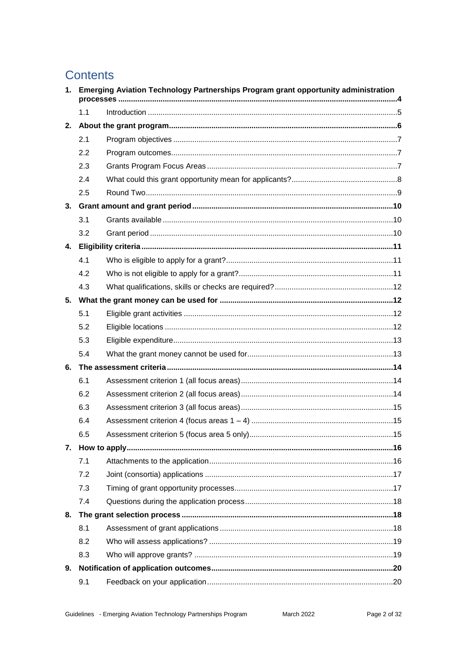# **Contents**

|              |     | 1. Emerging Aviation Technology Partnerships Program grant opportunity administration |  |
|--------------|-----|---------------------------------------------------------------------------------------|--|
|              | 1.1 |                                                                                       |  |
| 2.           |     |                                                                                       |  |
|              | 2.1 |                                                                                       |  |
|              | 2.2 |                                                                                       |  |
|              | 2.3 |                                                                                       |  |
|              | 2.4 |                                                                                       |  |
|              | 2.5 |                                                                                       |  |
|              |     |                                                                                       |  |
|              | 3.1 |                                                                                       |  |
|              | 3.2 |                                                                                       |  |
| $\mathbf{4}$ |     |                                                                                       |  |
|              | 4.1 |                                                                                       |  |
|              | 4.2 |                                                                                       |  |
|              | 4.3 |                                                                                       |  |
| 5.           |     |                                                                                       |  |
|              | 5.1 |                                                                                       |  |
|              | 5.2 |                                                                                       |  |
|              | 5.3 |                                                                                       |  |
|              | 5.4 |                                                                                       |  |
| 6.           |     |                                                                                       |  |
|              | 6.1 |                                                                                       |  |
|              | 6.2 |                                                                                       |  |
|              | 6.3 |                                                                                       |  |
|              | 6.4 |                                                                                       |  |
|              | 6.5 |                                                                                       |  |
| 7.           |     |                                                                                       |  |
|              | 7.1 |                                                                                       |  |
|              | 7.2 |                                                                                       |  |
|              | 7.3 |                                                                                       |  |
|              | 7.4 |                                                                                       |  |
| 8.           |     |                                                                                       |  |
|              | 8.1 |                                                                                       |  |
|              | 8.2 |                                                                                       |  |
|              | 8.3 |                                                                                       |  |
| 9.           |     |                                                                                       |  |
|              | 9.1 |                                                                                       |  |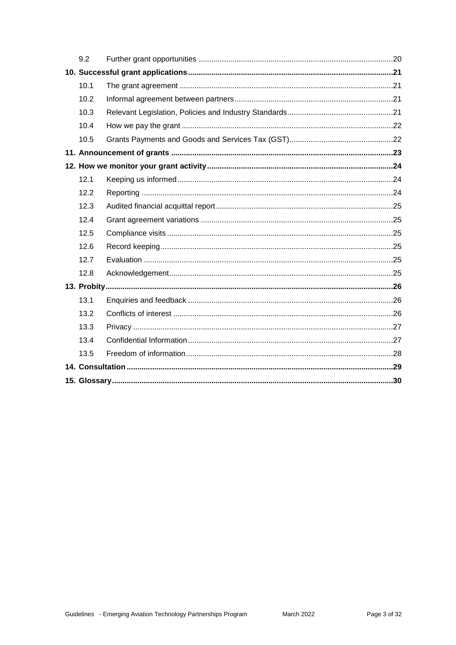| 9.2  |  |
|------|--|
|      |  |
| 10.1 |  |
| 10.2 |  |
| 10.3 |  |
| 10.4 |  |
| 10.5 |  |
|      |  |
|      |  |
| 12.1 |  |
| 12.2 |  |
| 12.3 |  |
| 12.4 |  |
| 12.5 |  |
| 12.6 |  |
| 12.7 |  |
| 12.8 |  |
|      |  |
| 13.1 |  |
| 13.2 |  |
| 13.3 |  |
| 13.4 |  |
| 13.5 |  |
|      |  |
|      |  |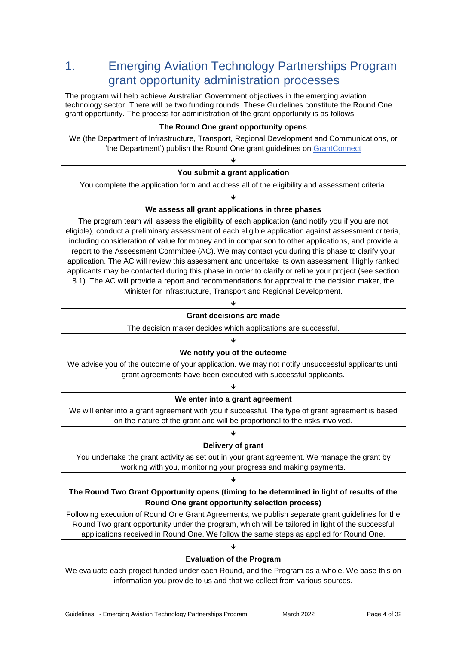# 1. Emerging Aviation Technology Partnerships Program grant opportunity administration processes

The program will help achieve Australian Government objectives in the emerging aviation technology sector. There will be two funding rounds. These Guidelines constitute the Round One grant opportunity. The process for administration of the grant opportunity is as follows:

#### **The Round One grant opportunity opens**

We (the Department of Infrastructure, Transport, Regional Development and Communications, or 'the Department') publish the Round One grant guidelines on [GrantConnect](http://www.grants.gov.au/)

#### Φ **You submit a grant application**

You complete the application form and address all of the eligibility and assessment criteria.

#### ۴ **We assess all grant applications in three phases**

The program team will assess the eligibility of each application (and notify you if you are not eligible), conduct a preliminary assessment of each eligible application against assessment criteria, including consideration of value for money and in comparison to other applications, and provide a report to the Assessment Committee (AC). We may contact you during this phase to clarify your application. The AC will review this assessment and undertake its own assessment. Highly ranked applicants may be contacted during this phase in order to clarify or refine your project (see section 8.1). The AC will provide a report and recommendations for approval to the decision maker, the Minister for Infrastructure, Transport and Regional Development.

#### J **Grant decisions are made**

The decision maker decides which applications are successful.

#### ۴ **We notify you of the outcome**

We advise you of the outcome of your application. We may not notify unsuccessful applicants until grant agreements have been executed with successful applicants.

#### ۴ **We enter into a grant agreement**

We will enter into a grant agreement with you if successful. The type of grant agreement is based on the nature of the grant and will be proportional to the risks involved.

#### ۴ **Delivery of grant**

You undertake the grant activity as set out in your grant agreement. We manage the grant by working with you, monitoring your progress and making payments.

#### J

#### **The Round Two Grant Opportunity opens (timing to be determined in light of results of the Round One grant opportunity selection process)**

Following execution of Round One Grant Agreements, we publish separate grant guidelines for the Round Two grant opportunity under the program, which will be tailored in light of the successful applications received in Round One. We follow the same steps as applied for Round One.

#### J

### **Evaluation of the Program**

We evaluate each project funded under each Round, and the Program as a whole. We base this on information you provide to us and that we collect from various sources.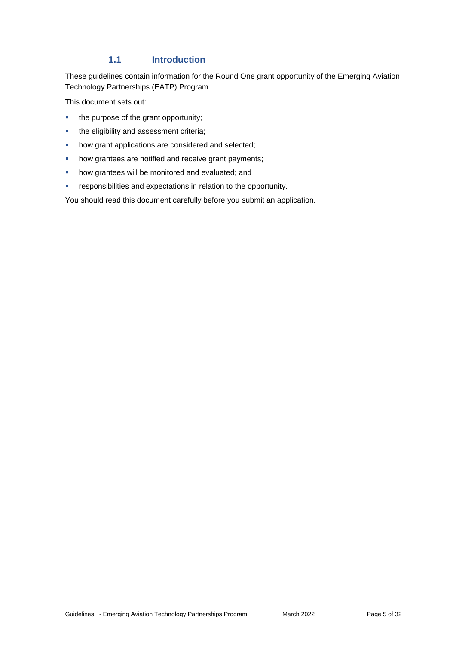#### **1.1 Introduction**

These guidelines contain information for the Round One grant opportunity of the Emerging Aviation Technology Partnerships (EATP) Program.

This document sets out:

- the purpose of the grant opportunity;
- **the eligibility and assessment criteria;**
- **•** how grant applications are considered and selected;
- how grantees are notified and receive grant payments;
- **•** how grantees will be monitored and evaluated; and
- responsibilities and expectations in relation to the opportunity.

You should read this document carefully before you submit an application.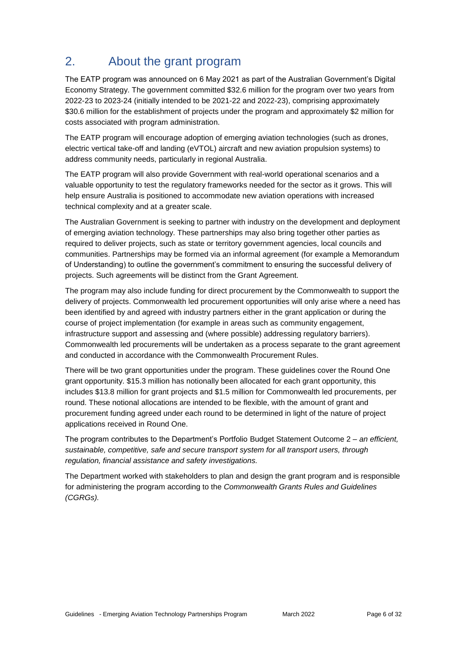# 2. About the grant program

The EATP program was announced on 6 May 2021 as part of the Australian Government's Digital Economy Strategy. The government committed \$32.6 million for the program over two years from 2022-23 to 2023-24 (initially intended to be 2021-22 and 2022-23), comprising approximately \$30.6 million for the establishment of projects under the program and approximately \$2 million for costs associated with program administration.

The EATP program will encourage adoption of emerging aviation technologies (such as drones, electric vertical take-off and landing (eVTOL) aircraft and new aviation propulsion systems) to address community needs, particularly in regional Australia.

The EATP program will also provide Government with real-world operational scenarios and a valuable opportunity to test the regulatory frameworks needed for the sector as it grows. This will help ensure Australia is positioned to accommodate new aviation operations with increased technical complexity and at a greater scale.

The Australian Government is seeking to partner with industry on the development and deployment of emerging aviation technology. These partnerships may also bring together other parties as required to deliver projects, such as state or territory government agencies, local councils and communities. Partnerships may be formed via an informal agreement (for example a Memorandum of Understanding) to outline the government's commitment to ensuring the successful delivery of projects. Such agreements will be distinct from the Grant Agreement.

The program may also include funding for direct procurement by the Commonwealth to support the delivery of projects. Commonwealth led procurement opportunities will only arise where a need has been identified by and agreed with industry partners either in the grant application or during the course of project implementation (for example in areas such as community engagement, infrastructure support and assessing and (where possible) addressing regulatory barriers). Commonwealth led procurements will be undertaken as a process separate to the grant agreement and conducted in accordance with the Commonwealth Procurement Rules.

There will be two grant opportunities under the program. These guidelines cover the Round One grant opportunity. \$15.3 million has notionally been allocated for each grant opportunity, this includes \$13.8 million for grant projects and \$1.5 million for Commonwealth led procurements, per round. These notional allocations are intended to be flexible, with the amount of grant and procurement funding agreed under each round to be determined in light of the nature of project applications received in Round One.

The program contributes to the Department's Portfolio Budget Statement Outcome 2 – *an efficient, sustainable, competitive, safe and secure transport system for all transport users, through regulation, financial assistance and safety investigations.*

The Department worked with stakeholders to plan and design the grant program and is responsible for administering the program according to the *[Commonwealth Grants Rules and Guidelines](https://www.finance.gov.au/sites/default/files/commonwealth-grants-rules-and-guidelines.pdf)  [\(CGRGs\).](https://www.finance.gov.au/sites/default/files/commonwealth-grants-rules-and-guidelines.pdf)*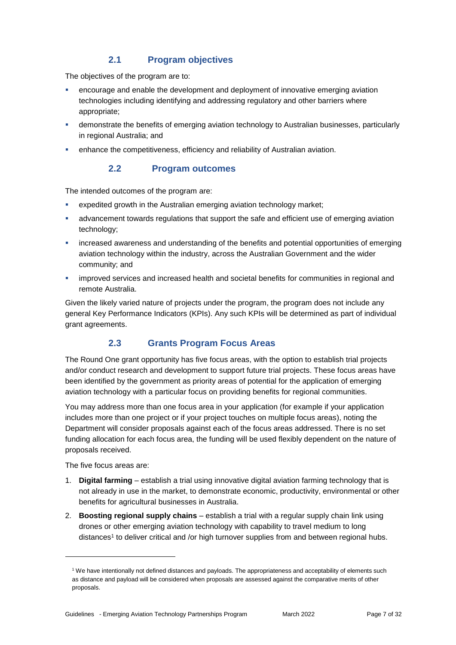## **2.1 Program objectives**

The objectives of the program are to:

- encourage and enable the development and deployment of innovative emerging aviation technologies including identifying and addressing regulatory and other barriers where appropriate;
- demonstrate the benefits of emerging aviation technology to Australian businesses, particularly in regional Australia; and
- **EXEDENT** enhance the competitiveness, efficiency and reliability of Australian aviation.

## **2.2 Program outcomes**

The intended outcomes of the program are:

- expedited growth in the Australian emerging aviation technology market;
- advancement towards regulations that support the safe and efficient use of emerging aviation technology;
- increased awareness and understanding of the benefits and potential opportunities of emerging aviation technology within the industry, across the Australian Government and the wider community; and
- **EXECT** improved services and increased health and societal benefits for communities in regional and remote Australia.

Given the likely varied nature of projects under the program, the program does not include any general Key Performance Indicators (KPIs). Any such KPIs will be determined as part of individual grant agreements.

## **2.3 Grants Program Focus Areas**

The Round One grant opportunity has five focus areas, with the option to establish trial projects and/or conduct research and development to support future trial projects. These focus areas have been identified by the government as priority areas of potential for the application of emerging aviation technology with a particular focus on providing benefits for regional communities.

You may address more than one focus area in your application (for example if your application includes more than one project or if your project touches on multiple focus areas), noting the Department will consider proposals against each of the focus areas addressed. There is no set funding allocation for each focus area, the funding will be used flexibly dependent on the nature of proposals received.

The five focus areas are:

1

- 1. **Digital farming**  establish a trial using innovative digital aviation farming technology that is not already in use in the market, to demonstrate economic, productivity, environmental or other benefits for agricultural businesses in Australia.
- 2. **Boosting regional supply chains** establish a trial with a regular supply chain link using drones or other emerging aviation technology with capability to travel medium to long distances<sup>1</sup> to deliver critical and /or high turnover supplies from and between regional hubs.

<sup>1</sup> We have intentionally not defined distances and payloads. The appropriateness and acceptability of elements such as distance and payload will be considered when proposals are assessed against the comparative merits of other proposals.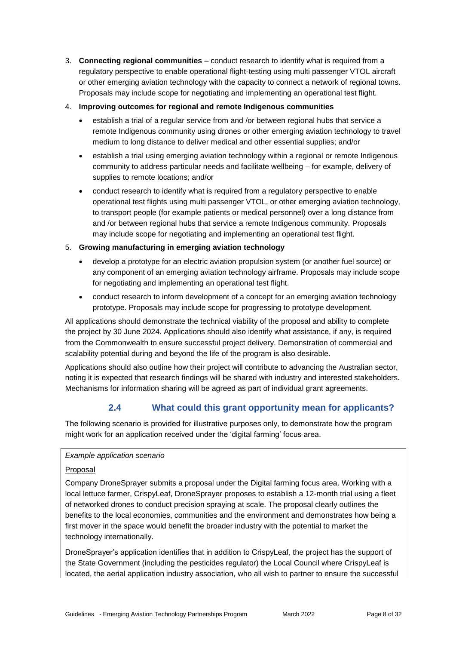3. **Connecting regional communities** – conduct research to identify what is required from a regulatory perspective to enable operational flight-testing using multi passenger VTOL aircraft or other emerging aviation technology with the capacity to connect a network of regional towns. Proposals may include scope for negotiating and implementing an operational test flight.

#### 4. **Improving outcomes for regional and remote Indigenous communities**

- establish a trial of a regular service from and /or between regional hubs that service a remote Indigenous community using drones or other emerging aviation technology to travel medium to long distance to deliver medical and other essential supplies; and/or
- establish a trial using emerging aviation technology within a regional or remote Indigenous community to address particular needs and facilitate wellbeing – for example, delivery of supplies to remote locations; and/or
- conduct research to identify what is required from a regulatory perspective to enable operational test flights using multi passenger VTOL, or other emerging aviation technology, to transport people (for example patients or medical personnel) over a long distance from and /or between regional hubs that service a remote Indigenous community. Proposals may include scope for negotiating and implementing an operational test flight.

#### 5. **Growing manufacturing in emerging aviation technology**

- develop a prototype for an electric aviation propulsion system (or another fuel source) or any component of an emerging aviation technology airframe. Proposals may include scope for negotiating and implementing an operational test flight.
- conduct research to inform development of a concept for an emerging aviation technology prototype. Proposals may include scope for progressing to prototype development.

All applications should demonstrate the technical viability of the proposal and ability to complete the project by 30 June 2024. Applications should also identify what assistance, if any, is required from the Commonwealth to ensure successful project delivery. Demonstration of commercial and scalability potential during and beyond the life of the program is also desirable.

Applications should also outline how their project will contribute to advancing the Australian sector, noting it is expected that research findings will be shared with industry and interested stakeholders. Mechanisms for information sharing will be agreed as part of individual grant agreements.

## **2.4 What could this grant opportunity mean for applicants?**

The following scenario is provided for illustrative purposes only, to demonstrate how the program might work for an application received under the 'digital farming' focus area.

#### *Example application scenario*

#### Proposal

Company DroneSprayer submits a proposal under the Digital farming focus area. Working with a local lettuce farmer, CrispyLeaf, DroneSprayer proposes to establish a 12-month trial using a fleet of networked drones to conduct precision spraying at scale. The proposal clearly outlines the benefits to the local economies, communities and the environment and demonstrates how being a first mover in the space would benefit the broader industry with the potential to market the technology internationally.

DroneSprayer's application identifies that in addition to CrispyLeaf, the project has the support of the State Government (including the pesticides regulator) the Local Council where CrispyLeaf is located, the aerial application industry association, who all wish to partner to ensure the successful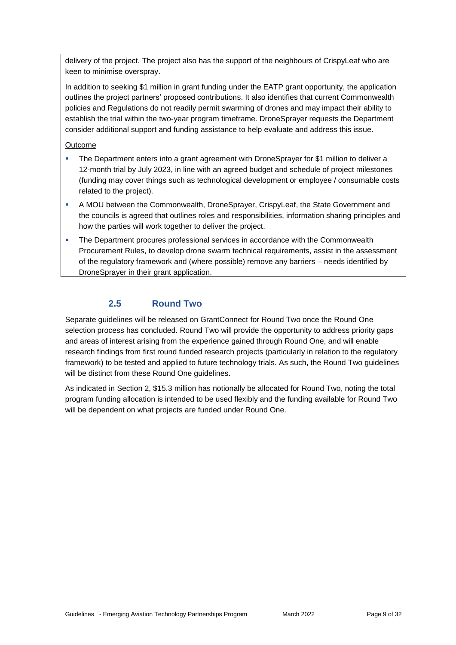delivery of the project. The project also has the support of the neighbours of CrispyLeaf who are keen to minimise overspray.

In addition to seeking \$1 million in grant funding under the EATP grant opportunity, the application outlines the project partners' proposed contributions. It also identifies that current Commonwealth policies and Regulations do not readily permit swarming of drones and may impact their ability to establish the trial within the two-year program timeframe. DroneSprayer requests the Department consider additional support and funding assistance to help evaluate and address this issue.

#### Outcome

- The Department enters into a grant agreement with DroneSprayer for \$1 million to deliver a 12-month trial by July 2023, in line with an agreed budget and schedule of project milestones (funding may cover things such as technological development or employee / consumable costs related to the project).
- A MOU between the Commonwealth, DroneSprayer, CrispyLeaf, the State Government and the councils is agreed that outlines roles and responsibilities, information sharing principles and how the parties will work together to deliver the project.
- The Department procures professional services in accordance with the Commonwealth Procurement Rules, to develop drone swarm technical requirements, assist in the assessment of the regulatory framework and (where possible) remove any barriers – needs identified by DroneSprayer in their grant application.

### **2.5 Round Two**

Separate guidelines will be released on GrantConnect for Round Two once the Round One selection process has concluded. Round Two will provide the opportunity to address priority gaps and areas of interest arising from the experience gained through Round One, and will enable research findings from first round funded research projects (particularly in relation to the regulatory framework) to be tested and applied to future technology trials. As such, the Round Two guidelines will be distinct from these Round One guidelines.

As indicated in Section 2, \$15.3 million has notionally be allocated for Round Two, noting the total program funding allocation is intended to be used flexibly and the funding available for Round Two will be dependent on what projects are funded under Round One.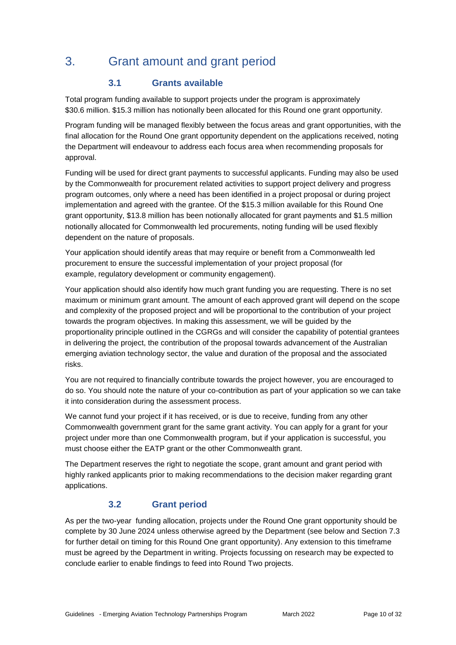# 3. Grant amount and grant period

## **3.1 Grants available**

Total program funding available to support projects under the program is approximately \$30.6 million. \$15.3 million has notionally been allocated for this Round one grant opportunity.

Program funding will be managed flexibly between the focus areas and grant opportunities, with the final allocation for the Round One grant opportunity dependent on the applications received, noting the Department will endeavour to address each focus area when recommending proposals for approval.

Funding will be used for direct grant payments to successful applicants. Funding may also be used by the Commonwealth for procurement related activities to support project delivery and progress program outcomes, only where a need has been identified in a project proposal or during project implementation and agreed with the grantee. Of the \$15.3 million available for this Round One grant opportunity, \$13.8 million has been notionally allocated for grant payments and \$1.5 million notionally allocated for Commonwealth led procurements, noting funding will be used flexibly dependent on the nature of proposals.

Your application should identify areas that may require or benefit from a Commonwealth led procurement to ensure the successful implementation of your project proposal (for example, regulatory development or community engagement).

Your application should also identify how much grant funding you are requesting. There is no set maximum or minimum grant amount. The amount of each approved grant will depend on the scope and complexity of the proposed project and will be proportional to the contribution of your project towards the program objectives. In making this assessment, we will be guided by the proportionality principle outlined in the CGRGs and will consider the capability of potential grantees in delivering the project, the contribution of the proposal towards advancement of the Australian emerging aviation technology sector, the value and duration of the proposal and the associated risks.

You are not required to financially contribute towards the project however, you are encouraged to do so. You should note the nature of your co-contribution as part of your application so we can take it into consideration during the assessment process.

We cannot fund your project if it has received, or is due to receive, funding from any other Commonwealth government grant for the same grant activity. You can apply for a grant for your project under more than one Commonwealth program, but if your application is successful, you must choose either the EATP grant or the other Commonwealth grant.

The Department reserves the right to negotiate the scope, grant amount and grant period with highly ranked applicants prior to making recommendations to the decision maker regarding grant applications.

### **3.2 Grant period**

As per the two-year funding allocation, projects under the Round One grant opportunity should be complete by 30 June 2024 unless otherwise agreed by the Department (see below and Section 7.3 for further detail on timing for this Round One grant opportunity). Any extension to this timeframe must be agreed by the Department in writing. Projects focussing on research may be expected to conclude earlier to enable findings to feed into Round Two projects.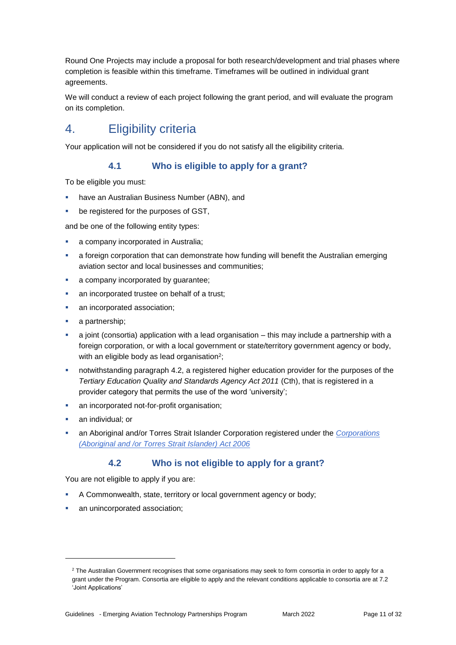Round One Projects may include a proposal for both research/development and trial phases where completion is feasible within this timeframe. Timeframes will be outlined in individual grant agreements.

We will conduct a review of each project following the grant period, and will evaluate the program on its completion.

# 4. Eligibility criteria

Your application will not be considered if you do not satisfy all the eligibility criteria.

### **4.1 Who is eligible to apply for a grant?**

To be eligible you must:

- have an Australian Business Number (ABN), and
- be registered for the purposes of GST,

and be one of the following entity types:

- **a** company incorporated in Australia;
- a foreign corporation that can demonstrate how funding will benefit the Australian emerging aviation sector and local businesses and communities;
- a company incorporated by guarantee;
- an incorporated trustee on behalf of a trust;
- an incorporated association;
- a partnership;
- $\blacksquare$  a joint (consortia) application with a lead organisation this may include a partnership with a foreign corporation, or with a local government or state/territory government agency or body, with an eligible body as lead organisation<sup>2</sup>;
- notwithstanding paragraph 4.2, a registered higher education provider for the purposes of the *Tertiary Education Quality and Standards Agency Act 2011* (Cth), that is registered in a provider category that permits the use of the word 'university';
- an incorporated not-for-profit organisation;
- an individual; or

1

 an Aboriginal and/or Torres Strait Islander Corporation registered under the *[Corporations](https://www.legislation.gov.au/Series/C2006A00124)  [\(Aboriginal and /or Torres Strait Islander\) Act 2006](https://www.legislation.gov.au/Series/C2006A00124)*

### **4.2 Who is not eligible to apply for a grant?**

You are not eligible to apply if you are:

- A Commonwealth, state, territory or local government agency or body;
- **an unincorporated association;**

<sup>&</sup>lt;sup>2</sup> The Australian Government recognises that some organisations may seek to form consortia in order to apply for a grant under the Program. Consortia are eligible to apply and the relevant conditions applicable to consortia are at 7.2 'Joint Applications'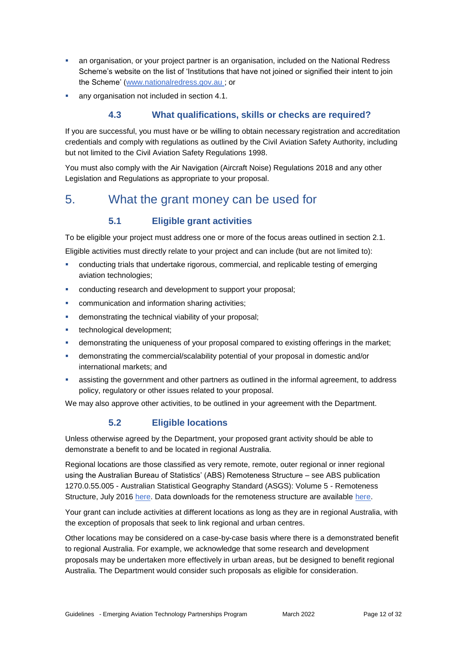- an organisation, or your project partner is an organisation, included on the National Redress Scheme's website on the list of 'Institutions that have not joined or signified their intent to join the Scheme' [\(www.nationalredress.gov.au](http://www.nationalredress.gov.au/) ; or
- any organisation not included in section 4.1.

## **4.3 What qualifications, skills or checks are required?**

If you are successful, you must have or be willing to obtain necessary registration and accreditation credentials and comply with regulations as outlined by the Civil Aviation Safety Authority, including but not limited to the Civil Aviation Safety Regulations 1998.

You must also comply with the Air Navigation (Aircraft Noise) Regulations 2018 and any other Legislation and Regulations as appropriate to your proposal.

## 5. What the grant money can be used for

## **5.1 Eligible grant activities**

To be eligible your project must address one or more of the focus areas outlined in section 2.1.

Eligible activities must directly relate to your project and can include (but are not limited to):

- conducting trials that undertake rigorous, commercial, and replicable testing of emerging aviation technologies;
- **conducting research and development to support your proposal;**
- **EXECOMMUNICATED And information sharing activities;**
- demonstrating the technical viability of your proposal;
- **technological development;**
- demonstrating the uniqueness of your proposal compared to existing offerings in the market;
- demonstrating the commercial/scalability potential of your proposal in domestic and/or international markets; and
- assisting the government and other partners as outlined in the informal agreement, to address policy, regulatory or other issues related to your proposal.

We may also approve other activities, to be outlined in your agreement with the Department.

### **5.2 Eligible locations**

Unless otherwise agreed by the Department, your proposed grant activity should be able to demonstrate a benefit to and be located in regional Australia.

Regional locations are those classified as very remote, remote, outer regional or inner regional using the Australian Bureau of Statistics' (ABS) Remoteness Structure – see ABS publication 1270.0.55.005 - Australian Statistical Geography Standard (ASGS): Volume 5 - Remoteness Structure, July 2016 [here.](https://www.abs.gov.au/AUSSTATS/abs@.nsf/DetailsPage/1270.0.55.005July%202016?OpenDocument) Data downloads for the remoteness structure are available here.

Your grant can include activities at different locations as long as they are in regional Australia, with the exception of proposals that seek to link regional and urban centres.

Other locations may be considered on a case-by-case basis where there is a demonstrated benefit to regional Australia. For example, we acknowledge that some research and development proposals may be undertaken more effectively in urban areas, but be designed to benefit regional Australia. The Department would consider such proposals as eligible for consideration.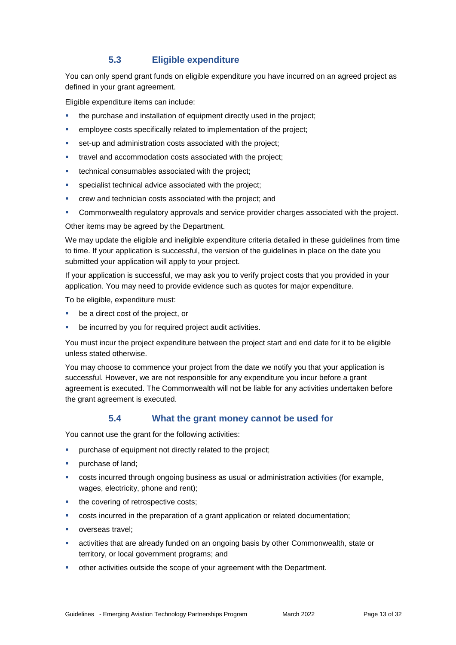## **5.3 Eligible expenditure**

You can only spend grant funds on eligible expenditure you have incurred on an agreed project as defined in your grant agreement.

Eligible expenditure items can include:

- the purchase and installation of equipment directly used in the project;
- employee costs specifically related to implementation of the project;
- set-up and administration costs associated with the project;
- travel and accommodation costs associated with the project;
- technical consumables associated with the project;
- specialist technical advice associated with the project;
- crew and technician costs associated with the project; and
- Commonwealth regulatory approvals and service provider charges associated with the project.

Other items may be agreed by the Department.

We may update the eligible and ineligible expenditure criteria detailed in these guidelines from time to time. If your application is successful, the version of the guidelines in place on the date you submitted your application will apply to your project.

If your application is successful, we may ask you to verify project costs that you provided in your application. You may need to provide evidence such as quotes for major expenditure.

To be eligible, expenditure must:

- be a direct cost of the project, or
- be incurred by you for required project audit activities.

You must incur the project expenditure between the project start and end date for it to be eligible unless stated otherwise.

You may choose to commence your project from the date we notify you that your application is successful. However, we are not responsible for any expenditure you incur before a grant agreement is executed. The Commonwealth will not be liable for any activities undertaken before the grant agreement is executed.

#### **5.4 What the grant money cannot be used for**

You cannot use the grant for the following activities:

- purchase of equipment not directly related to the project;
- purchase of land;
- costs incurred through ongoing business as usual or administration activities (for example, wages, electricity, phone and rent);
- the covering of retrospective costs;
- costs incurred in the preparation of a grant application or related documentation;
- overseas travel;
- activities that are already funded on an ongoing basis by other Commonwealth, state or territory, or local government programs; and
- other activities outside the scope of your agreement with the Department.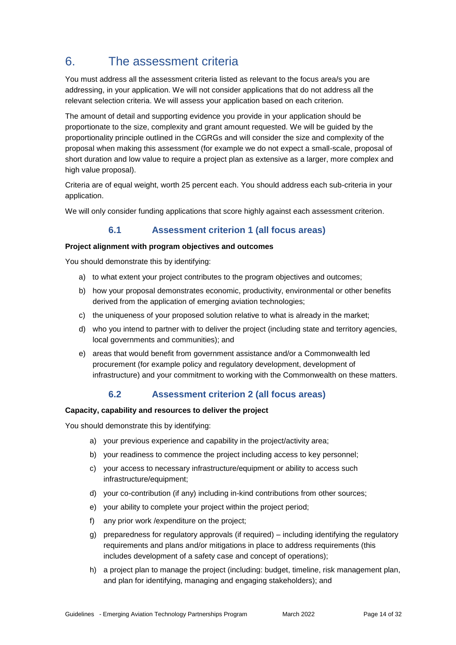# 6. The assessment criteria

You must address all the assessment criteria listed as relevant to the focus area/s you are addressing, in your application. We will not consider applications that do not address all the relevant selection criteria. We will assess your application based on each criterion.

The amount of detail and supporting evidence you provide in your application should be proportionate to the size, complexity and grant amount requested. We will be guided by the proportionality principle outlined in the CGRGs and will consider the size and complexity of the proposal when making this assessment (for example we do not expect a small-scale, proposal of short duration and low value to require a project plan as extensive as a larger, more complex and high value proposal).

Criteria are of equal weight, worth 25 percent each. You should address each sub-criteria in your application.

We will only consider funding applications that score highly against each assessment criterion.

## **6.1 Assessment criterion 1 (all focus areas)**

#### **Project alignment with program objectives and outcomes**

You should demonstrate this by identifying:

- a) to what extent your project contributes to the program objectives and outcomes;
- b) how your proposal demonstrates economic, productivity, environmental or other benefits derived from the application of emerging aviation technologies;
- c) the uniqueness of your proposed solution relative to what is already in the market;
- d) who you intend to partner with to deliver the project (including state and territory agencies, local governments and communities); and
- e) areas that would benefit from government assistance and/or a Commonwealth led procurement (for example policy and regulatory development, development of infrastructure) and your commitment to working with the Commonwealth on these matters.

## **6.2 Assessment criterion 2 (all focus areas)**

#### **Capacity, capability and resources to deliver the project**

You should demonstrate this by identifying:

- a) your previous experience and capability in the project/activity area;
- b) your readiness to commence the project including access to key personnel;
- c) your access to necessary infrastructure/equipment or ability to access such infrastructure/equipment;
- d) your co-contribution (if any) including in-kind contributions from other sources;
- e) your ability to complete your project within the project period;
- f) any prior work /expenditure on the project;
- g) preparedness for regulatory approvals (if required) including identifying the regulatory requirements and plans and/or mitigations in place to address requirements (this includes development of a safety case and concept of operations);
- h) a project plan to manage the project (including: budget, timeline, risk management plan, and plan for identifying, managing and engaging stakeholders); and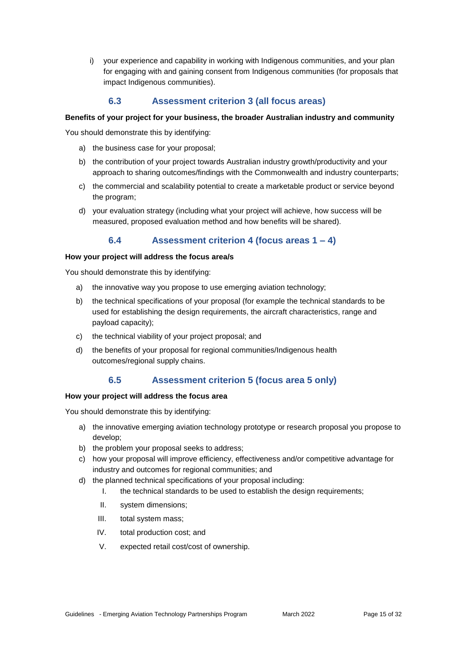i) your experience and capability in working with Indigenous communities, and your plan for engaging with and gaining consent from Indigenous communities (for proposals that impact Indigenous communities).

### **6.3 Assessment criterion 3 (all focus areas)**

#### **Benefits of your project for your business, the broader Australian industry and community**

You should demonstrate this by identifying:

- a) the business case for your proposal;
- b) the contribution of your project towards Australian industry growth/productivity and your approach to sharing outcomes/findings with the Commonwealth and industry counterparts;
- c) the commercial and scalability potential to create a marketable product or service beyond the program;
- d) your evaluation strategy (including what your project will achieve, how success will be measured, proposed evaluation method and how benefits will be shared).

#### **6.4 Assessment criterion 4 (focus areas 1 – 4)**

#### **How your project will address the focus area/s**

You should demonstrate this by identifying:

- a) the innovative way you propose to use emerging aviation technology;
- b) the technical specifications of your proposal (for example the technical standards to be used for establishing the design requirements, the aircraft characteristics, range and payload capacity);
- c) the technical viability of your project proposal; and
- d) the benefits of your proposal for regional communities/Indigenous health outcomes/regional supply chains.

### **6.5 Assessment criterion 5 (focus area 5 only)**

#### **How your project will address the focus area**

You should demonstrate this by identifying:

- a) the innovative emerging aviation technology prototype or research proposal you propose to develop;
- b) the problem your proposal seeks to address;
- c) how your proposal will improve efficiency, effectiveness and/or competitive advantage for industry and outcomes for regional communities; and
- d) the planned technical specifications of your proposal including:
	- I. the technical standards to be used to establish the design requirements;
	- II. system dimensions;
	- III. total system mass;
	- IV. total production cost; and
	- V. expected retail cost/cost of ownership.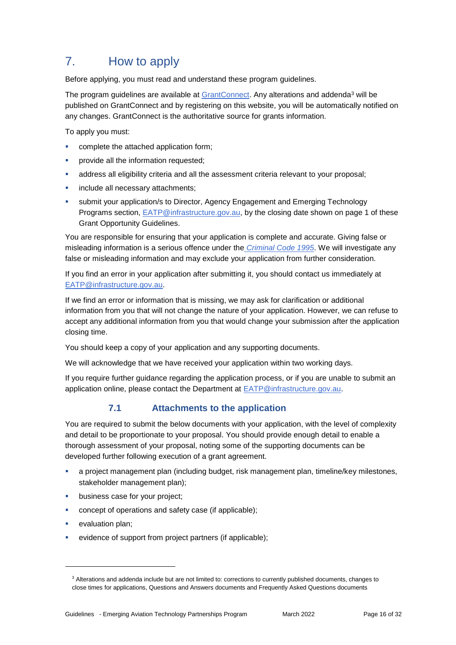# 7. How to apply

Before applying, you must read and understand these program guidelines.

The program guidelines are available at [GrantConnect.](http://www.grants.gov.au/) Any alterations and addenda<sup>3</sup> will be published on GrantConnect and by registering on this website, you will be automatically notified on any changes. GrantConnect is the authoritative source for grants information.

To apply you must:

- complete the attached application form;
- provide all the information requested;
- address all eligibility criteria and all the assessment criteria relevant to your proposal;
- include all necessary attachments;
- submit your application/s to Director, Agency Engagement and Emerging Technology Programs section, [EATP@infrastructure.gov.au,](mailto:EATP@infrastructure.gov.au) by the closing date shown on page 1 of these Grant Opportunity Guidelines.

You are responsible for ensuring that your application is complete and accurate. Giving false or misleading information is a serious offence under the *[Criminal Code 1995](http://www8.austlii.edu.au/cgi-bin/viewdoc/au/legis/cth/consol_act/cca1995115/sch1.html)*. We will investigate any false or misleading information and may exclude your application from further consideration.

If you find an error in your application after submitting it, you should contact us immediately at [EATP@infrastructure.gov.au.](mailto:EATP@infrastructure.gov.au)

If we find an error or information that is missing, we may ask for clarification or additional information from you that will not change the nature of your application. However, we can refuse to accept any additional information from you that would change your submission after the application closing time.

You should keep a copy of your application and any supporting documents.

We will acknowledge that we have received your application within two working days.

If you require further guidance regarding the application process, or if you are unable to submit an application online, please contact the Department at **EATP@infrastructure.gov.au.** 

## **7.1 Attachments to the application**

You are required to submit the below documents with your application, with the level of complexity and detail to be proportionate to your proposal. You should provide enough detail to enable a thorough assessment of your proposal, noting some of the supporting documents can be developed further following execution of a grant agreement.

- a project management plan (including budget, risk management plan, timeline/key milestones, stakeholder management plan);
- business case for your project;
- concept of operations and safety case (if applicable);
- evaluation plan;

-

evidence of support from project partners (if applicable);

<sup>&</sup>lt;sup>3</sup> Alterations and addenda include but are not limited to: corrections to currently published documents, changes to close times for applications, Questions and Answers documents and Frequently Asked Questions documents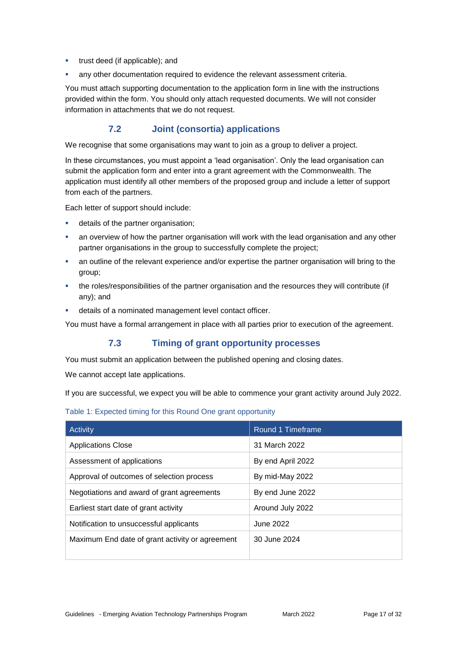- **trust deed (if applicable); and**
- any other documentation required to evidence the relevant assessment criteria.

You must attach supporting documentation to the application form in line with the instructions provided within the form. You should only attach requested documents. We will not consider information in attachments that we do not request.

### **7.2 Joint (consortia) applications**

We recognise that some organisations may want to join as a group to deliver a project.

In these circumstances, you must appoint a 'lead organisation'. Only the lead organisation can submit the application form and enter into a grant agreement with the Commonwealth. The application must identify all other members of the proposed group and include a letter of support from each of the partners.

Each letter of support should include:

- details of the partner organisation;
- an overview of how the partner organisation will work with the lead organisation and any other partner organisations in the group to successfully complete the project;
- an outline of the relevant experience and/or expertise the partner organisation will bring to the group;
- the roles/responsibilities of the partner organisation and the resources they will contribute (if any); and
- details of a nominated management level contact officer.

You must have a formal arrangement in place with all parties prior to execution of the agreement.

### **7.3 Timing of grant opportunity processes**

You must submit an application between the published opening and closing dates.

We cannot accept late applications.

If you are successful, we expect you will be able to commence your grant activity around July 2022.

#### Table 1: Expected timing for this Round One grant opportunity

| Activity                                        | Round 1 Timeframe |
|-------------------------------------------------|-------------------|
| Applications Close                              | 31 March 2022     |
| Assessment of applications                      | By end April 2022 |
| Approval of outcomes of selection process       | By mid-May 2022   |
| Negotiations and award of grant agreements      | By end June 2022  |
| Earliest start date of grant activity           | Around July 2022  |
| Notification to unsuccessful applicants         | June 2022         |
| Maximum End date of grant activity or agreement | 30 June 2024      |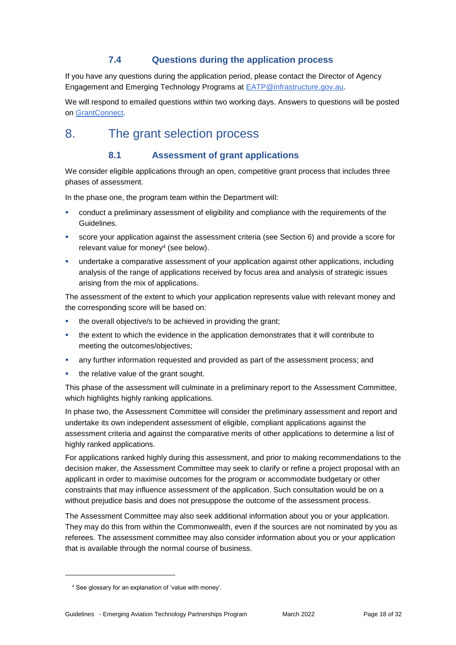## **7.4 Questions during the application process**

If you have any questions during the application period, please contact the Director of Agency Engagement and Emerging Technology Programs at [EATP@infrastructure.gov.au.](mailto:EATP@infrastructure.gov.au)

We will respond to emailed questions within two working days. Answers to questions will be posted on [GrantConnect.](https://www.grants.gov.au/)

## 8. The grant selection process

## **8.1 Assessment of grant applications**

We consider eligible applications through an open, competitive grant process that includes three phases of assessment.

In the phase one, the program team within the Department will:

- conduct a preliminary assessment of eligibility and compliance with the requirements of the Guidelines.
- score your application against the assessment criteria (see Section 6) and provide a score for relevant value for money<sup>4</sup> (see below).
- **undertake a comparative assessment of your application against other applications, including** analysis of the range of applications received by focus area and analysis of strategic issues arising from the mix of applications.

The assessment of the extent to which your application represents value with relevant money and the corresponding score will be based on:

- the overall objective/s to be achieved in providing the grant;
- the extent to which the evidence in the application demonstrates that it will contribute to meeting the outcomes/objectives;
- any further information requested and provided as part of the assessment process; and
- the relative value of the grant sought.

This phase of the assessment will culminate in a preliminary report to the Assessment Committee, which highlights highly ranking applications.

In phase two, the Assessment Committee will consider the preliminary assessment and report and undertake its own independent assessment of eligible, compliant applications against the assessment criteria and against the comparative merits of other applications to determine a list of highly ranked applications.

For applications ranked highly during this assessment, and prior to making recommendations to the decision maker, the Assessment Committee may seek to clarify or refine a project proposal with an applicant in order to maximise outcomes for the program or accommodate budgetary or other constraints that may influence assessment of the application. Such consultation would be on a without prejudice basis and does not presuppose the outcome of the assessment process.

The Assessment Committee may also seek additional information about you or your application. They may do this from within the Commonwealth, even if the sources are not nominated by you as referees. The assessment committee may also consider information about you or your application that is available through the normal course of business.

1

<sup>4</sup> See glossary for an explanation of 'value with money'.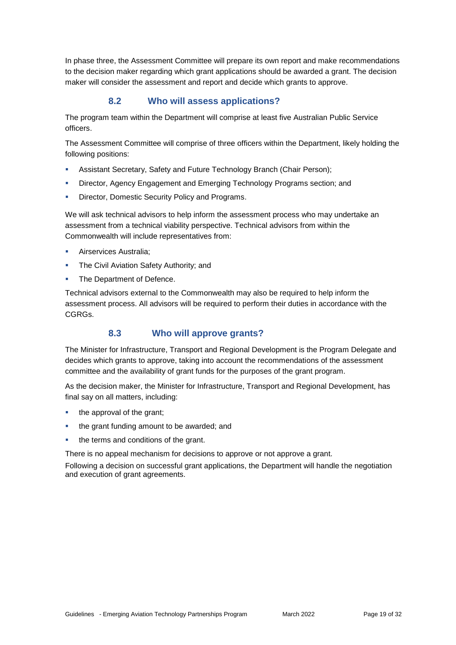In phase three, the Assessment Committee will prepare its own report and make recommendations to the decision maker regarding which grant applications should be awarded a grant. The decision maker will consider the assessment and report and decide which grants to approve.

### **8.2 Who will assess applications?**

The program team within the Department will comprise at least five Australian Public Service officers.

The Assessment Committee will comprise of three officers within the Department, likely holding the following positions:

- Assistant Secretary, Safety and Future Technology Branch (Chair Person);
- Director, Agency Engagement and Emerging Technology Programs section; and
- Director, Domestic Security Policy and Programs.

We will ask technical advisors to help inform the assessment process who may undertake an assessment from a technical viability perspective. Technical advisors from within the Commonwealth will include representatives from:

- Airservices Australia;
- **The Civil Aviation Safety Authority; and**
- The Department of Defence.

Technical advisors external to the Commonwealth may also be required to help inform the assessment process. All advisors will be required to perform their duties in accordance with the CGRGs.

### **8.3 Who will approve grants?**

The Minister for Infrastructure, Transport and Regional Development is the Program Delegate and decides which grants to approve, taking into account the recommendations of the assessment committee and the availability of grant funds for the purposes of the grant program.

As the decision maker, the Minister for Infrastructure, Transport and Regional Development, has final say on all matters, including:

- the approval of the grant;
- the grant funding amount to be awarded; and
- the terms and conditions of the grant.

There is no appeal mechanism for decisions to approve or not approve a grant.

Following a decision on successful grant applications, the Department will handle the negotiation and execution of grant agreements.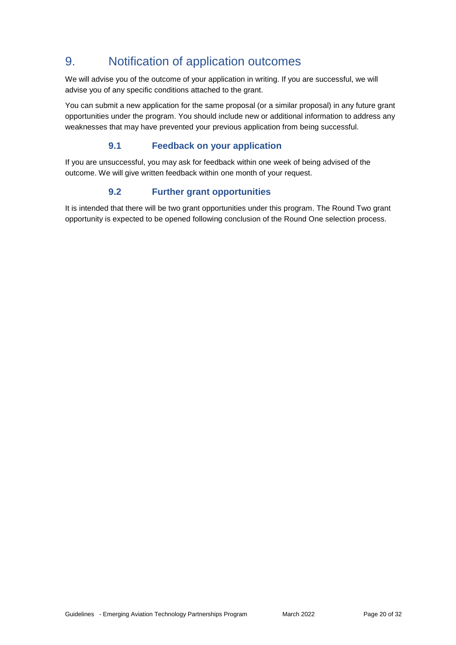# 9. Notification of application outcomes

We will advise you of the outcome of your application in writing. If you are successful, we will advise you of any specific conditions attached to the grant.

You can submit a new application for the same proposal (or a similar proposal) in any future grant opportunities under the program. You should include new or additional information to address any weaknesses that may have prevented your previous application from being successful.

### **9.1 Feedback on your application**

If you are unsuccessful, you may ask for feedback within one week of being advised of the outcome. We will give written feedback within one month of your request.

## **9.2 Further grant opportunities**

It is intended that there will be two grant opportunities under this program. The Round Two grant opportunity is expected to be opened following conclusion of the Round One selection process.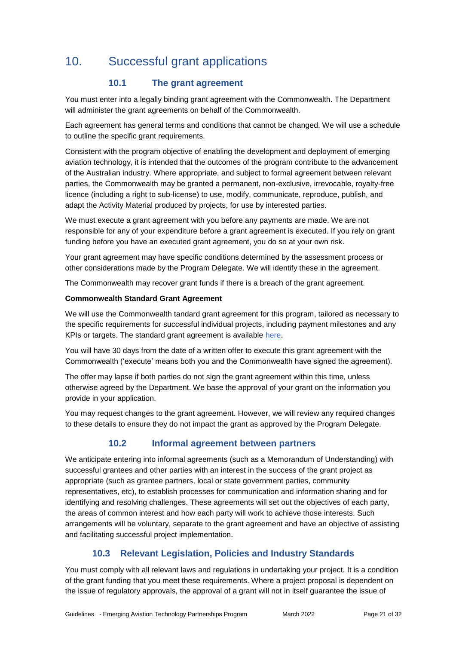# 10. Successful grant applications

## **10.1 The grant agreement**

You must enter into a legally binding grant agreement with the Commonwealth. The Department will administer the grant agreements on behalf of the Commonwealth.

Each agreement has general terms and conditions that cannot be changed. We will use a schedule to outline the specific grant requirements.

Consistent with the program objective of enabling the development and deployment of emerging aviation technology, it is intended that the outcomes of the program contribute to the advancement of the Australian industry. Where appropriate, and subject to formal agreement between relevant parties, the Commonwealth may be granted a permanent, non-exclusive, irrevocable, royalty-free licence (including a right to sub-license) to use, modify, communicate, reproduce, publish, and adapt the Activity Material produced by projects, for use by interested parties.

We must execute a grant agreement with you before any payments are made. We are not responsible for any of your expenditure before a grant agreement is executed. If you rely on grant funding before you have an executed grant agreement, you do so at your own risk.

Your grant agreement may have specific conditions determined by the assessment process or other considerations made by the Program Delegate. We will identify these in the agreement.

The Commonwealth may recover grant funds if there is a breach of the grant agreement.

#### **Commonwealth Standard Grant Agreement**

We will use the Commonwealth tandard grant agreement for this program, tailored as necessary to the specific requirements for successful individual projects, including payment milestones and any KPIs or targets. The standard grant agreement is available [here.](https://www.finance.gov.au/government/commonwealth-grants/tools-and-templates)

You will have 30 days from the date of a written offer to execute this grant agreement with the Commonwealth ('execute' means both you and the Commonwealth have signed the agreement).

The offer may lapse if both parties do not sign the grant agreement within this time, unless otherwise agreed by the Department. We base the approval of your grant on the information you provide in your application.

You may request changes to the grant agreement. However, we will review any required changes to these details to ensure they do not impact the grant as approved by the Program Delegate.

## **10.2 Informal agreement between partners**

We anticipate entering into informal agreements (such as a Memorandum of Understanding) with successful grantees and other parties with an interest in the success of the grant project as appropriate (such as grantee partners, local or state government parties, community representatives, etc), to establish processes for communication and information sharing and for identifying and resolving challenges. These agreements will set out the objectives of each party, the areas of common interest and how each party will work to achieve those interests. Such arrangements will be voluntary, separate to the grant agreement and have an objective of assisting and facilitating successful project implementation.

## **10.3 Relevant Legislation, Policies and Industry Standards**

You must comply with all relevant laws and regulations in undertaking your project. It is a condition of the grant funding that you meet these requirements. Where a project proposal is dependent on the issue of regulatory approvals, the approval of a grant will not in itself guarantee the issue of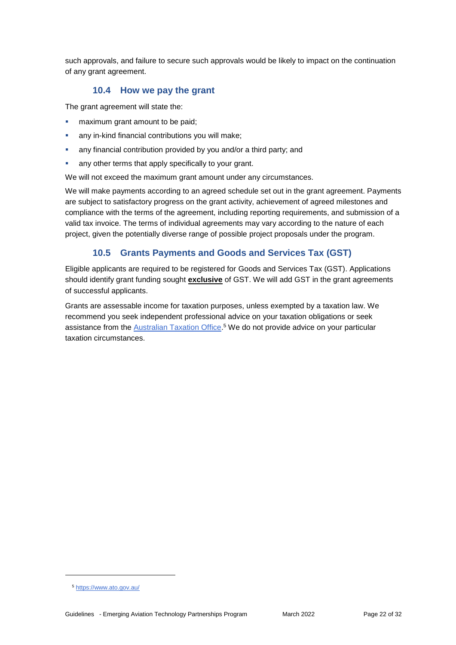such approvals, and failure to secure such approvals would be likely to impact on the continuation of any grant agreement.

#### **10.4 How we pay the grant**

The grant agreement will state the:

- maximum grant amount to be paid;
- any in-kind financial contributions you will make;
- any financial contribution provided by you and/or a third party; and
- any other terms that apply specifically to your grant.

We will not exceed the maximum grant amount under any circumstances.

We will make payments according to an agreed schedule set out in the grant agreement. Payments are subject to satisfactory progress on the grant activity, achievement of agreed milestones and compliance with the terms of the agreement, including reporting requirements, and submission of a valid tax invoice. The terms of individual agreements may vary according to the nature of each project, given the potentially diverse range of possible project proposals under the program.

## **10.5 Grants Payments and Goods and Services Tax (GST)**

Eligible applicants are required to be registered for [Goods and Services Tax \(GST\).](https://www.ato.gov.au/Business/GST/Registering-for-GST/) Applications should identify grant funding sought **exclusive** of GST. We will add GST in the grant agreements of successful applicants.

Grants are assessable income for taxation purposes, unless exempted by a taxation law. We recommend you seek independent professional advice on your taxation obligations or seek assistance from the [Australian Taxation Office.](https://www.ato.gov.au/)<sup>5</sup> We do not provide advice on your particular taxation circumstances.

1

<sup>5</sup> <https://www.ato.gov.au/>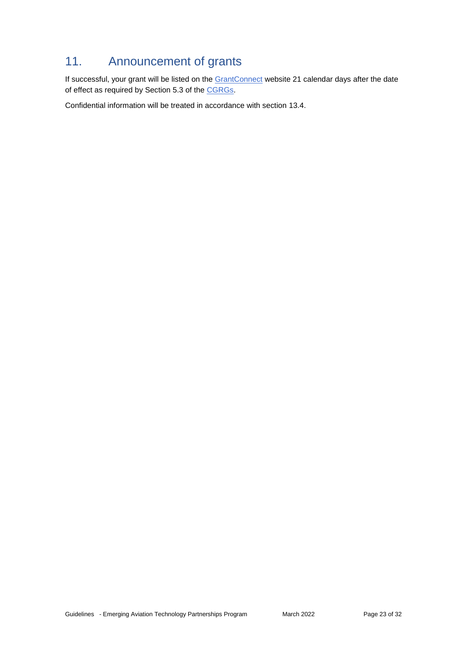# 11. Announcement of grants

If successful, your grant will be listed on the [GrantConnect](https://www.grants.gov.au/) website 21 calendar days after the date of effect as required by Section 5.3 of the [CGRGs.](https://www.finance.gov.au/government/commonwealth-grants/commonwealth-grants-rules-and-guidelines)

Confidential information will be treated in accordance with section 13.4.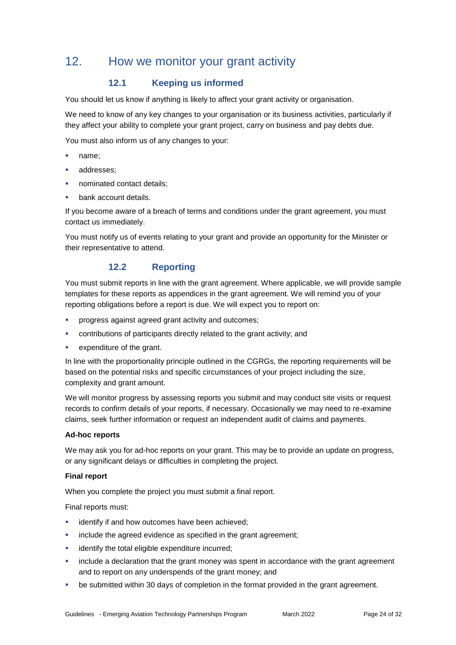## 12. How we monitor your grant activity

## **12.1 Keeping us informed**

You should let us know if anything is likely to affect your grant activity or organisation.

We need to know of any key changes to your organisation or its business activities, particularly if they affect your ability to complete your grant project, carry on business and pay debts due.

You must also inform us of any changes to your:

- name;
- addresses;
- nominated contact details;
- bank account details.

If you become aware of a breach of terms and conditions under the grant agreement, you must contact us immediately.

You must notify us of events relating to your grant and provide an opportunity for the Minister or their representative to attend.

### **12.2 Reporting**

You must submit reports in line with the [grant agreement.](file://///prod.protected.ind/User/user03/LLau2/insert%20link%20here) Where applicable, we will provide sample templates for these reports as appendices in the grant agreement. We will remind you of your reporting obligations before a report is due. We will expect you to report on:

- progress against agreed grant activity and outcomes;
- contributions of participants directly related to the grant activity; and
- expenditure of the grant.

In line with the proportionality principle outlined in the CGRGs, the reporting requirements will be based on the potential risks and specific circumstances of your project including the size, complexity and grant amount.

We will monitor progress by assessing reports you submit and may conduct site visits or request records to confirm details of your reports, if necessary. Occasionally we may need to re-examine claims, seek further information or request an independent audit of claims and payments.

#### **Ad-hoc reports**

We may ask you for ad-hoc reports on your grant. This may be to provide an update on progress, or any significant delays or difficulties in completing the project.

#### **Final report**

When you complete the project you must submit a final report.

Final reports must:

- identify if and how outcomes have been achieved;
- include the agreed evidence as specified in the grant agreement;
- identify the total eligible expenditure incurred;
- include a declaration that the grant money was spent in accordance with the grant agreement and to report on any underspends of the grant money; and
- be submitted within 30 days of completion in the format provided in the grant agreement.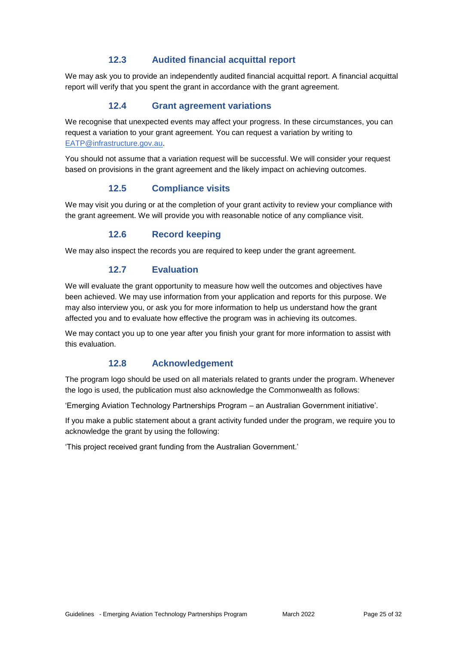### **12.3 Audited financial acquittal report**

We may ask you to provide an independently audited financial acquittal report. A financial acquittal report will verify that you spent the grant in accordance with the grant agreement.

### **12.4 Grant agreement variations**

We recognise that unexpected events may affect your progress. In these circumstances, you can request a variation to your grant agreement. You can request a variation by writing to [EATP@infrastructure.gov.au.](mailto:EATP@infrastructure.gov.au)

You should not assume that a variation request will be successful. We will consider your request based on provisions in the grant agreement and the likely impact on achieving outcomes.

#### **12.5 Compliance visits**

We may visit you during or at the completion of your grant activity to review your compliance with the grant agreement. We will provide you with reasonable notice of any compliance visit.

#### **12.6 Record keeping**

We may also inspect the records you are required to keep under the grant agreement.

#### **12.7 Evaluation**

We will evaluate the grant opportunity to measure how well the outcomes and objectives have been achieved. We may use information from your application and reports for this purpose. We may also interview you, or ask you for more information to help us understand how the grant affected you and to evaluate how effective the program was in achieving its outcomes.

We may contact you up to one year after you finish your grant for more information to assist with this evaluation.

#### **12.8 Acknowledgement**

The program logo should be used on all materials related to grants under the program. Whenever the logo is used, the publication must also acknowledge the Commonwealth as follows:

'Emerging Aviation Technology Partnerships Program – an Australian Government initiative'.

If you make a public statement about a grant activity funded under the program, we require you to acknowledge the grant by using the following:

'This project received grant funding from the Australian Government.'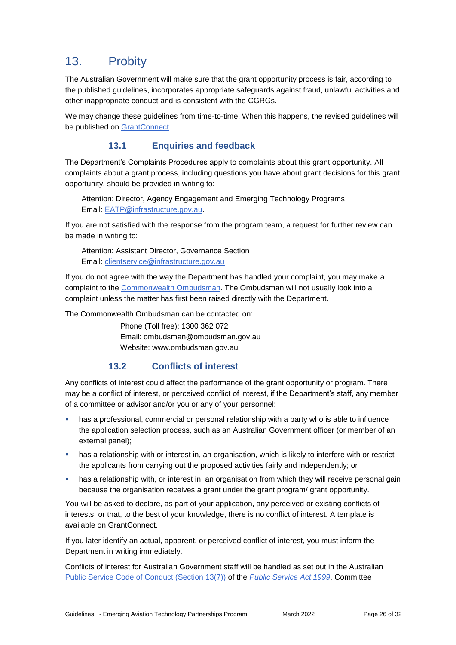# 13. Probity

The Australian Government will make sure that the grant opportunity process is fair, according to the published guidelines, incorporates appropriate safeguards against fraud, unlawful activities and other inappropriate conduct and is consistent with the CGRGs.

We may change these guidelines from time-to-time. When this happens, the revised guidelines will be published on [GrantConnect.](https://www.grants.gov.au/)

## **13.1 Enquiries and feedback**

The Department's Complaints Procedures apply to complaints about this grant opportunity. All complaints about a grant process, including questions you have about grant decisions for this grant opportunity, should be provided in writing to:

Attention: Director, Agency Engagement and Emerging Technology Programs Email: [EATP@infrastructure.gov.au.](mailto:EATP@infrastructure.gov.au)

If you are not satisfied with the response from the program team, a request for further review can be made in writing to:

Attention: Assistant Director, Governance Section Email: [clientservice@infrastructure.gov.au](mailto:clientservice@infrastructure.gov.au)

If you do not agree with the way the Department has handled your complaint, you may make a complaint to the [Commonwealth Ombudsman.](http://www.ombudsman.gov.au/) The Ombudsman will not usually look into a complaint unless the matter has first been raised directly with the Department.

The Commonwealth Ombudsman can be contacted on:

Phone (Toll free): 1300 362 072 Email: [ombudsman@ombudsman.gov.au](mailto:ombudsman@ombudsman.gov.au) Website: [www.ombudsman.gov.au](http://www.ombudsman.gov.au/)

### **13.2 Conflicts of interest**

Any conflicts of interest could affect the performance of the grant opportunity or program. There may be a [conflict of interest,](http://www.apsc.gov.au/publications-and-media/current-publications/aps-values-and-code-of-conduct-in-practice/conflict-of-interest) or perceived conflict of interest, if the Department's staff, any member of a committee or advisor and/or you or any of your personnel:

- has a professional, commercial or personal relationship with a party who is able to influence the application selection process, such as an Australian Government officer (or member of an external panel);
- **has a relationship with or interest in, an organisation, which is likely to interfere with or restrict** the applicants from carrying out the proposed activities fairly and independently; or
- has a relationship with, or interest in, an organisation from which they will receive personal gain because the organisation receives a grant under the grant program/ grant opportunity.

You will be asked to declare, as part of your application, any perceived or existing conflicts of interests, or that, to the best of your knowledge, there is no conflict of interest. A template is available on GrantConnect.

If you later identify an actual, apparent, or perceived conflict of interest, you must inform the Department in writing immediately.

Conflicts of interest for Australian Government staff will be handled as set out in the Australian [Public Service Code of Conduct \(Section 13\(7\)\)](http://www8.austlii.edu.au/cgi-bin/viewdoc/au/legis/cth/consol_act/psa1999152/s13.html) of the *[Public Service Act 1999](https://www.legislation.gov.au/Series/C2004A00538)*. Committee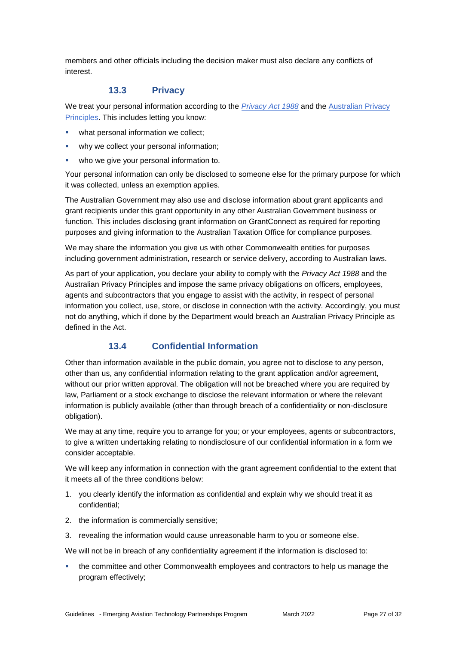members and other officials including the decision maker must also declare any conflicts of interest.

#### **13.3 Privacy**

We treat your personal information according to the *[Privacy Act 1988](https://www.legislation.gov.au/Details/C2014C00076)* and the [Australian Privacy](https://www.oaic.gov.au/privacy-law/privacy-act/australian-privacy-principles) [Principles.](https://www.oaic.gov.au/privacy-law/privacy-act/australian-privacy-principles) This includes letting you know:

- what personal information we collect;
- why we collect your personal information;
- who we give your personal information to.

Your personal information can only be disclosed to someone else for the primary purpose for which it was collected, unless an exemption applies.

The Australian Government may also use and disclose information about grant applicants and grant recipients under this grant opportunity in any other Australian Government business or function. This includes disclosing grant information on GrantConnect as required for reporting purposes and giving information to the Australian Taxation Office for compliance purposes.

We may share the information you give us with other Commonwealth entities for purposes including government administration, research or service delivery, according to Australian laws.

As part of your application, you declare your ability to comply with the *Privacy Act 1988* and the Australian Privacy Principles and impose the same privacy obligations on officers, employees, agents and subcontractors that you engage to assist with the activity, in respect of personal information you collect, use, store, or disclose in connection with the activity. Accordingly, you must not do anything, which if done by the Department would breach an Australian Privacy Principle as defined in the Act.

### **13.4 Confidential Information**

Other than information available in the public domain, you agree not to disclose to any person, other than us, any confidential information relating to the grant application and/or agreement, without our prior written approval. The obligation will not be breached where you are required by law, Parliament or a stock exchange to disclose the relevant information or where the relevant information is publicly available (other than through breach of a confidentiality or non-disclosure obligation).

We may at any time, require you to arrange for you; or your employees, agents or subcontractors, to give a written undertaking relating to nondisclosure of our confidential information in a form we consider acceptable.

We will keep any information in connection with the grant agreement confidential to the extent that it meets all of the three conditions below:

- 1. you clearly identify the information as confidential and explain why we should treat it as confidential;
- 2. the information is commercially sensitive;
- 3. revealing the information would cause unreasonable harm to you or someone else.

We will not be in breach of any confidentiality agreement if the information is disclosed to:

 the committee and other Commonwealth employees and contractors to help us manage the program effectively;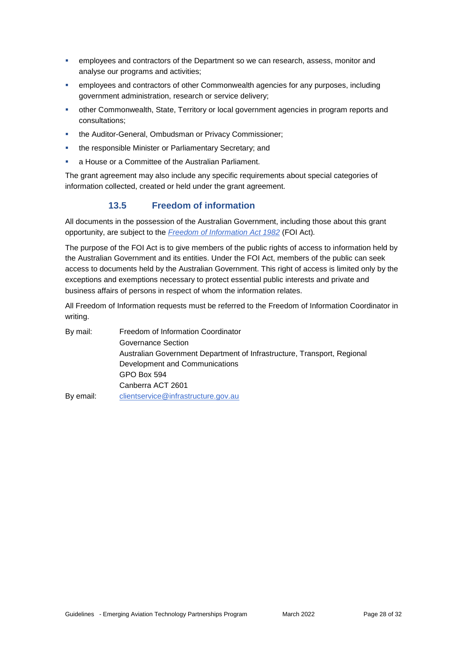- **EXECT** employees and contractors of the Department so we can research, assess, monitor and analyse our programs and activities;
- **EXECT** employees and contractors of other Commonwealth agencies for any purposes, including government administration, research or service delivery;
- other Commonwealth, State, Territory or local government agencies in program reports and consultations;
- **the Auditor-General, Ombudsman or Privacy Commissioner;**
- **the responsible Minister or Parliamentary Secretary; and**
- a House or a Committee of the Australian Parliament.

The grant agreement may also include any specific requirements about special categories of information collected, created or held under the grant agreement.

## **13.5 Freedom of information**

All documents in the possession of the Australian Government, including those about this grant opportunity, are subject to the *[Freedom of Information Act 1982](https://www.legislation.gov.au/Series/C2004A02562)* (FOI Act)*.*

The purpose of the FOI Act is to give members of the public rights of access to information held by the Australian Government and its entities. Under the FOI Act, members of the public can seek access to documents held by the Australian Government. This right of access is limited only by the exceptions and exemptions necessary to protect essential public interests and private and business affairs of persons in respect of whom the information relates.

All Freedom of Information requests must be referred to the Freedom of Information Coordinator in writing.

By mail: Freedom of Information Coordinator Governance Section Australian Government Department of Infrastructure, Transport, Regional Development and Communications GPO Box 594 Canberra ACT 2601 By email: [clientservice@infrastructure.gov.au](mailto:clientservice@infrastructure.gov.au)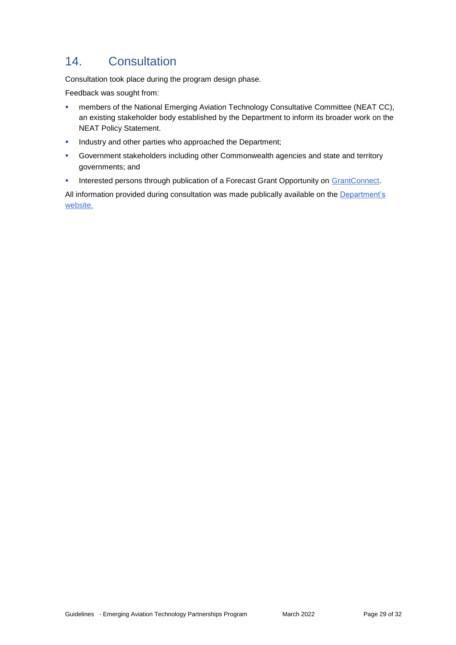# 14. Consultation

Consultation took place during the program design phase.

Feedback was sought from:

- members of the National Emerging Aviation Technology Consultative Committee (NEAT CC), an existing stakeholder body established by the Department to inform its broader work on the NEAT Policy Statement.
- **Industry and other parties who approached the Department;**
- Government stakeholders including other Commonwealth agencies and state and territory governments; and
- Interested persons through publication of a Forecast Grant Opportunity on [GrantConnect.](https://www.grants.gov.au/Fo/ListResult?Page=1&ItemsPerPage=0&SearchFrom=AdvancedSearch&Type=Fo&AgencyUuid=677edfd6-fb32-31c7-1339-7c51d18cda9a&AgencyStatus=2&Keyword=EATP&KeywordTypeSearch=AllWord&Edor=July%20to%20December%202021&OrderBy=Agency)

All information provided during consultation was made publically available on the Department's [website.](https://www.infrastructure.gov.au/aviation/technology/drones/eatp.aspx)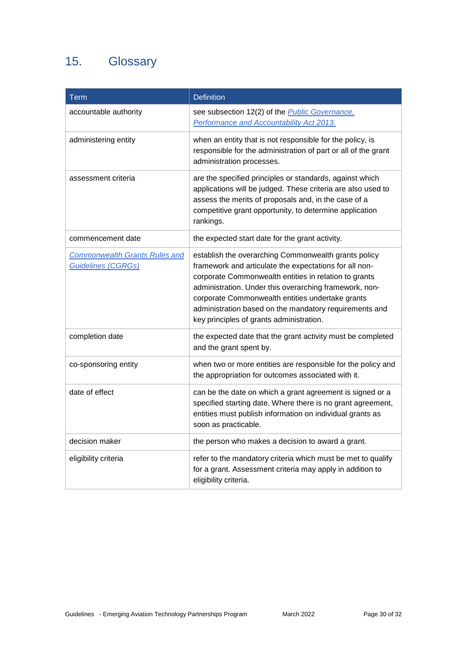# 15. Glossary

| <b>Term</b>                                                       | <b>Definition</b>                                                                                                                                                                                                                                                                                                                                                                           |
|-------------------------------------------------------------------|---------------------------------------------------------------------------------------------------------------------------------------------------------------------------------------------------------------------------------------------------------------------------------------------------------------------------------------------------------------------------------------------|
| accountable authority                                             | see subsection 12(2) of the <i>Public Governance</i> ,<br>Performance and Accountability Act 2013.                                                                                                                                                                                                                                                                                          |
| administering entity                                              | when an entity that is not responsible for the policy, is<br>responsible for the administration of part or all of the grant<br>administration processes.                                                                                                                                                                                                                                    |
| assessment criteria                                               | are the specified principles or standards, against which<br>applications will be judged. These criteria are also used to<br>assess the merits of proposals and, in the case of a<br>competitive grant opportunity, to determine application<br>rankings.                                                                                                                                    |
| commencement date                                                 | the expected start date for the grant activity.                                                                                                                                                                                                                                                                                                                                             |
| <b>Commonwealth Grants Rules and</b><br><b>Guidelines (CGRGs)</b> | establish the overarching Commonwealth grants policy<br>framework and articulate the expectations for all non-<br>corporate Commonwealth entities in relation to grants<br>administration. Under this overarching framework, non-<br>corporate Commonwealth entities undertake grants<br>administration based on the mandatory requirements and<br>key principles of grants administration. |
| completion date                                                   | the expected date that the grant activity must be completed<br>and the grant spent by.                                                                                                                                                                                                                                                                                                      |
| co-sponsoring entity                                              | when two or more entities are responsible for the policy and<br>the appropriation for outcomes associated with it.                                                                                                                                                                                                                                                                          |
| date of effect                                                    | can be the date on which a grant agreement is signed or a<br>specified starting date. Where there is no grant agreement,<br>entities must publish information on individual grants as<br>soon as practicable.                                                                                                                                                                               |
| decision maker                                                    | the person who makes a decision to award a grant.                                                                                                                                                                                                                                                                                                                                           |
| eligibility criteria                                              | refer to the mandatory criteria which must be met to qualify<br>for a grant. Assessment criteria may apply in addition to<br>eligibility criteria.                                                                                                                                                                                                                                          |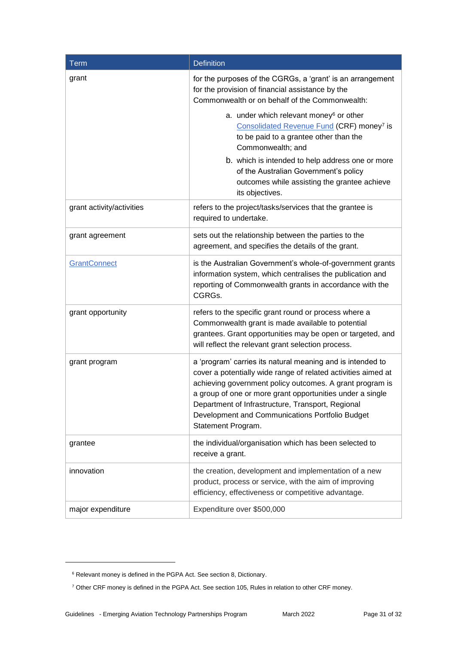| <b>Term</b>               | <b>Definition</b>                                                                                                                                                                                                                                                                                                                                                                  |
|---------------------------|------------------------------------------------------------------------------------------------------------------------------------------------------------------------------------------------------------------------------------------------------------------------------------------------------------------------------------------------------------------------------------|
| grant                     | for the purposes of the CGRGs, a 'grant' is an arrangement<br>for the provision of financial assistance by the<br>Commonwealth or on behalf of the Commonwealth:                                                                                                                                                                                                                   |
|                           | a. under which relevant money <sup>6</sup> or other<br>Consolidated Revenue Fund (CRF) money <sup>7</sup> is<br>to be paid to a grantee other than the<br>Commonwealth; and                                                                                                                                                                                                        |
|                           | b. which is intended to help address one or more<br>of the Australian Government's policy<br>outcomes while assisting the grantee achieve<br>its objectives.                                                                                                                                                                                                                       |
| grant activity/activities | refers to the project/tasks/services that the grantee is<br>required to undertake.                                                                                                                                                                                                                                                                                                 |
| grant agreement           | sets out the relationship between the parties to the<br>agreement, and specifies the details of the grant.                                                                                                                                                                                                                                                                         |
| GrantConnect              | is the Australian Government's whole-of-government grants<br>information system, which centralises the publication and<br>reporting of Commonwealth grants in accordance with the<br>CGRGs.                                                                                                                                                                                        |
| grant opportunity         | refers to the specific grant round or process where a<br>Commonwealth grant is made available to potential<br>grantees. Grant opportunities may be open or targeted, and<br>will reflect the relevant grant selection process.                                                                                                                                                     |
| grant program             | a 'program' carries its natural meaning and is intended to<br>cover a potentially wide range of related activities aimed at<br>achieving government policy outcomes. A grant program is<br>a group of one or more grant opportunities under a single<br>Department of Infrastructure, Transport, Regional<br>Development and Communications Portfolio Budget<br>Statement Program. |
| grantee                   | the individual/organisation which has been selected to<br>receive a grant.                                                                                                                                                                                                                                                                                                         |
| innovation                | the creation, development and implementation of a new<br>product, process or service, with the aim of improving<br>efficiency, effectiveness or competitive advantage.                                                                                                                                                                                                             |
| major expenditure         | Expenditure over \$500,000                                                                                                                                                                                                                                                                                                                                                         |

-

<sup>6</sup> Relevant money is defined in the PGPA Act. See section 8, Dictionary.

<sup>7</sup> Other CRF money is defined in the PGPA Act. See section 105, Rules in relation to other CRF money.